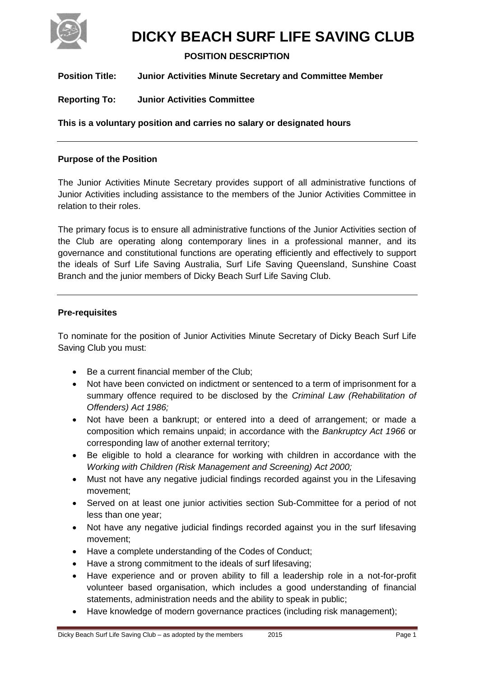

# **DICKY BEACH SURF LIFE SAVING CLUB**

# **POSITION DESCRIPTION**

**Position Title: Junior Activities Minute Secretary and Committee Member**

**Reporting To: Junior Activities Committee**

**This is a voluntary position and carries no salary or designated hours**

### **Purpose of the Position**

The Junior Activities Minute Secretary provides support of all administrative functions of Junior Activities including assistance to the members of the Junior Activities Committee in relation to their roles.

The primary focus is to ensure all administrative functions of the Junior Activities section of the Club are operating along contemporary lines in a professional manner, and its governance and constitutional functions are operating efficiently and effectively to support the ideals of Surf Life Saving Australia, Surf Life Saving Queensland, Sunshine Coast Branch and the junior members of Dicky Beach Surf Life Saving Club.

### **Pre-requisites**

To nominate for the position of Junior Activities Minute Secretary of Dicky Beach Surf Life Saving Club you must:

- Be a current financial member of the Club;
- Not have been convicted on indictment or sentenced to a term of imprisonment for a summary offence required to be disclosed by the *Criminal Law (Rehabilitation of Offenders) Act 1986;*
- Not have been a bankrupt; or entered into a deed of arrangement; or made a composition which remains unpaid; in accordance with the *Bankruptcy Act 1966* or corresponding law of another external territory;
- Be eligible to hold a clearance for working with children in accordance with the *Working with Children (Risk Management and Screening) Act 2000;*
- Must not have any negative judicial findings recorded against you in the Lifesaving movement;
- Served on at least one junior activities section Sub-Committee for a period of not less than one year;
- Not have any negative judicial findings recorded against you in the surf lifesaving movement;
- Have a complete understanding of the Codes of Conduct;
- Have a strong commitment to the ideals of surf lifesaving;
- Have experience and or proven ability to fill a leadership role in a not-for-profit volunteer based organisation, which includes a good understanding of financial statements, administration needs and the ability to speak in public;
- Have knowledge of modern governance practices (including risk management);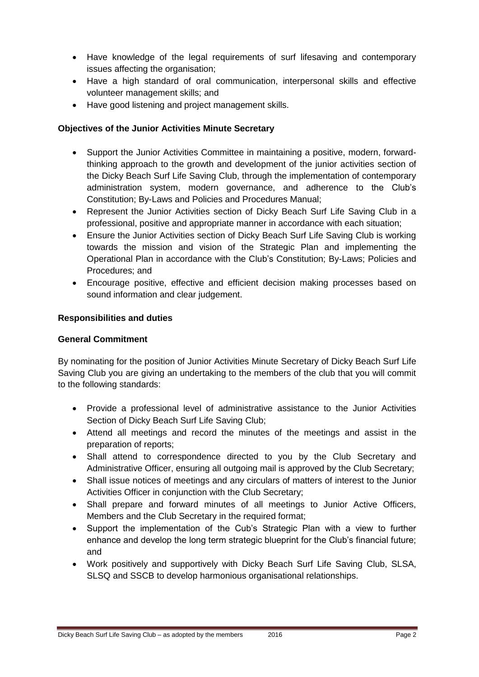- Have knowledge of the legal requirements of surf lifesaving and contemporary issues affecting the organisation;
- Have a high standard of oral communication, interpersonal skills and effective volunteer management skills; and
- Have good listening and project management skills.

## **Objectives of the Junior Activities Minute Secretary**

- Support the Junior Activities Committee in maintaining a positive, modern, forwardthinking approach to the growth and development of the junior activities section of the Dicky Beach Surf Life Saving Club, through the implementation of contemporary administration system, modern governance, and adherence to the Club's Constitution; By-Laws and Policies and Procedures Manual;
- Represent the Junior Activities section of Dicky Beach Surf Life Saving Club in a professional, positive and appropriate manner in accordance with each situation;
- Ensure the Junior Activities section of Dicky Beach Surf Life Saving Club is working towards the mission and vision of the Strategic Plan and implementing the Operational Plan in accordance with the Club's Constitution; By-Laws; Policies and Procedures; and
- Encourage positive, effective and efficient decision making processes based on sound information and clear judgement.

## **Responsibilities and duties**

### **General Commitment**

By nominating for the position of Junior Activities Minute Secretary of Dicky Beach Surf Life Saving Club you are giving an undertaking to the members of the club that you will commit to the following standards:

- Provide a professional level of administrative assistance to the Junior Activities Section of Dicky Beach Surf Life Saving Club;
- Attend all meetings and record the minutes of the meetings and assist in the preparation of reports;
- Shall attend to correspondence directed to you by the Club Secretary and Administrative Officer, ensuring all outgoing mail is approved by the Club Secretary;
- Shall issue notices of meetings and any circulars of matters of interest to the Junior Activities Officer in conjunction with the Club Secretary;
- Shall prepare and forward minutes of all meetings to Junior Active Officers, Members and the Club Secretary in the required format:
- Support the implementation of the Cub's Strategic Plan with a view to further enhance and develop the long term strategic blueprint for the Club's financial future; and
- Work positively and supportively with Dicky Beach Surf Life Saving Club, SLSA, SLSQ and SSCB to develop harmonious organisational relationships.